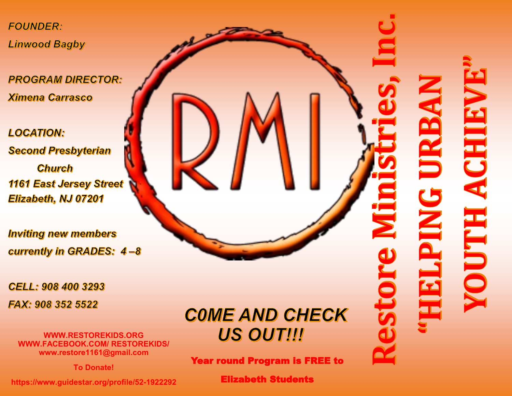**FOUNDER: Linwood Bagby** 

**PROGRAM DIRECTOR: Ximena Carrasco** 

**LOCATION: Second Presbyterian Church** 1161 East Jersey Street Elizabeth, NJ 07201

**Inviting new members** currently in GRADES: 4-8

**CELL: 908 400 3293** 

FAX: 908 352 5522

**WWW.RESTOREKIDS.ORG WWW.FACEBOOK.COM/ RESTOREKIDS/ www.restore1161@gmail.com**

**To Donate!**

**https://www.guidestar.org/profile/52-1922292**

**COME AND CHECK US OUT!!!** 

Year round Program is FREE to

Elizabeth Students

## ACHIE HLINO